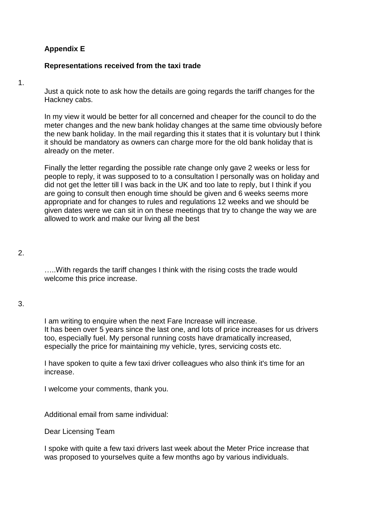# **Appendix E**

### **Representations received from the taxi trade**

1.

Just a quick note to ask how the details are going regards the tariff changes for the Hackney cabs.

In my view it would be better for all concerned and cheaper for the council to do the meter changes and the new bank holiday changes at the same time obviously before the new bank holiday. In the mail regarding this it states that it is voluntary but I think it should be mandatory as owners can charge more for the old bank holiday that is already on the meter.

Finally the letter regarding the possible rate change only gave 2 weeks or less for people to reply, it was supposed to to a consultation I personally was on holiday and did not get the letter till I was back in the UK and too late to reply, but I think if you are going to consult then enough time should be given and 6 weeks seems more appropriate and for changes to rules and regulations 12 weeks and we should be given dates were we can sit in on these meetings that try to change the way we are allowed to work and make our living all the best

# 2.

…..With regards the tariff changes I think with the rising costs the trade would welcome this price increase.

# 3.

I am writing to enquire when the next Fare Increase will increase. It has been over 5 years since the last one, and lots of price increases for us drivers too, especially fuel. My personal running costs have dramatically increased, especially the price for maintaining my vehicle, tyres, servicing costs etc.

I have spoken to quite a few taxi driver colleagues who also think it's time for an increase.

I welcome your comments, thank you.

Additional email from same individual:

Dear Licensing Team

I spoke with quite a few taxi drivers last week about the Meter Price increase that was proposed to yourselves quite a few months ago by various individuals.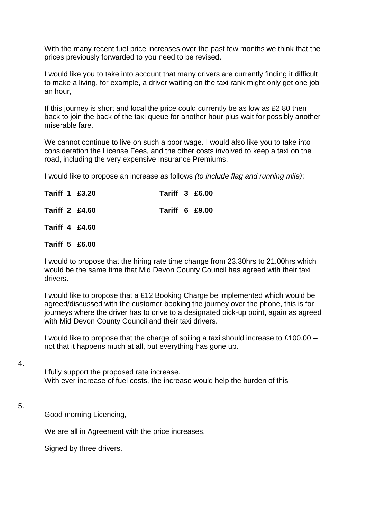With the many recent fuel price increases over the past few months we think that the prices previously forwarded to you need to be revised.

I would like you to take into account that many drivers are currently finding it difficult to make a living, for example, a driver waiting on the taxi rank might only get one job an hour,

If this journey is short and local the price could currently be as low as £2.80 then back to join the back of the taxi queue for another hour plus wait for possibly another miserable fare.

We cannot continue to live on such a poor wage. I would also like you to take into consideration the License Fees, and the other costs involved to keep a taxi on the road, including the very expensive Insurance Premiums.

I would like to propose an increase as follows *(to include flag and running mile)*:

|  | Tariff 1 £3.20        | <b>Tariff 3 £6.00</b> |  |
|--|-----------------------|-----------------------|--|
|  | <b>Tariff 2 £4.60</b> | <b>Tariff 6 £9.00</b> |  |
|  | <b>Tariff 4 £4.60</b> |                       |  |
|  | Tariff 5 £6.00        |                       |  |

I would to propose that the hiring rate time change from 23.30hrs to 21.00hrs which would be the same time that Mid Devon County Council has agreed with their taxi drivers.

I would like to propose that a £12 Booking Charge be implemented which would be agreed/discussed with the customer booking the journey over the phone, this is for journeys where the driver has to drive to a designated pick-up point, again as agreed with Mid Devon County Council and their taxi drivers.

I would like to propose that the charge of soiling a taxi should increase to £100.00 – not that it happens much at all, but everything has gone up.

4.

I fully support the proposed rate increase. With ever increase of fuel costs, the increase would help the burden of this

#### 5.

Good morning Licencing,

We are all in Agreement with the price increases.

Signed by three drivers.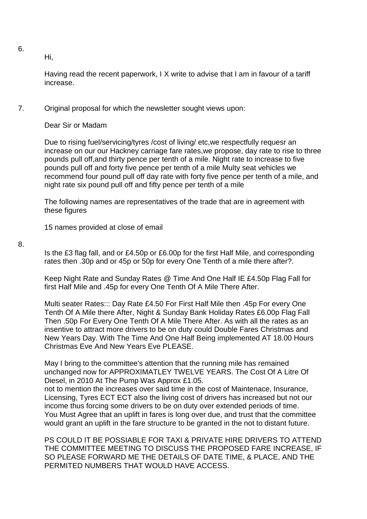6.

Hi,

Having read the recent paperwork, I X write to advise that I am in favour of a tariff increase.

### 7. Original proposal for which the newsletter sought views upon:

Dear Sir or Madam

Due to rising fuel/servicing/tyres /cost of living/ etc,we respectfully requesr an increase on our our Hackney carriage fare rates,we propose, day rate to rise to three pounds pull off,and thirty pence per tenth of a mile. Night rate to increase to five pounds pull off and forty five pence per tenth of a mile Multy seat vehicles we recommend four pound pull off day rate with forty five pence per tenth of a mile, and night rate six pound pull off and fifty pence per tenth of a mile

The following names are representatives of the trade that are in agreement with these figures

15 names provided at close of email

8.

Is the £3 flag fall, and or £4.50p or £6.00p for the first Half Mile, and corresponding rates then .30p and or 45p or 50p for every One Tenth of a mile there after?.

Keep Night Rate and Sunday Rates @ Time And One Half IE £4.50p Flag Fall for first Half Mile and .45p for every One Tenth Of A Mile There After.

Multi seater Rates::: Day Rate £4.50 For First Half Mile then .45p For every One Tenth Of A Mile there After, Night & Sunday Bank Holiday Rates £6.00p Flag Fall Then .50p For Every One Tenth Of A Mile There After. As with all the rates as an insentive to attract more drivers to be on duty could Double Fares Christmas and New Years Day. With The Time And One Half Being implemented AT 18.00 Hours Christmas Eve And New Years Eve PLEASE.

May I bring to the committee's attention that the running mile has remained unchanged now for APPROXIMATLEY TWELVE YEARS. The Cost Of A Litre Of Diesel, in 2010 At The Pump Was Approx £1.05.

not to mention the increases over said time in the cost of Maintenace, Insurance, Licensing, Tyres ECT ECT also the living cost of drivers has increased but not our income thus forcing some drivers to be on duty over extended periods of time. You Must Agree that an uplift in fares is long over due, and trust that the committee would grant an uplift in the fare structure to be granted in the not to distant future.

PS COULD IT BE POSSIABLE FOR TAXI & PRIVATE HIRE DRIVERS TO ATTEND THE COMMITTEE MEETING TO DISCUSS THE PROPOSED FARE INCREASE, IF SO PLEASE FORWARD ME THE DETAILS OF DATE TIME, & PLACE, AND THE PERMITED NUMBERS THAT WOULD HAVE ACCESS.